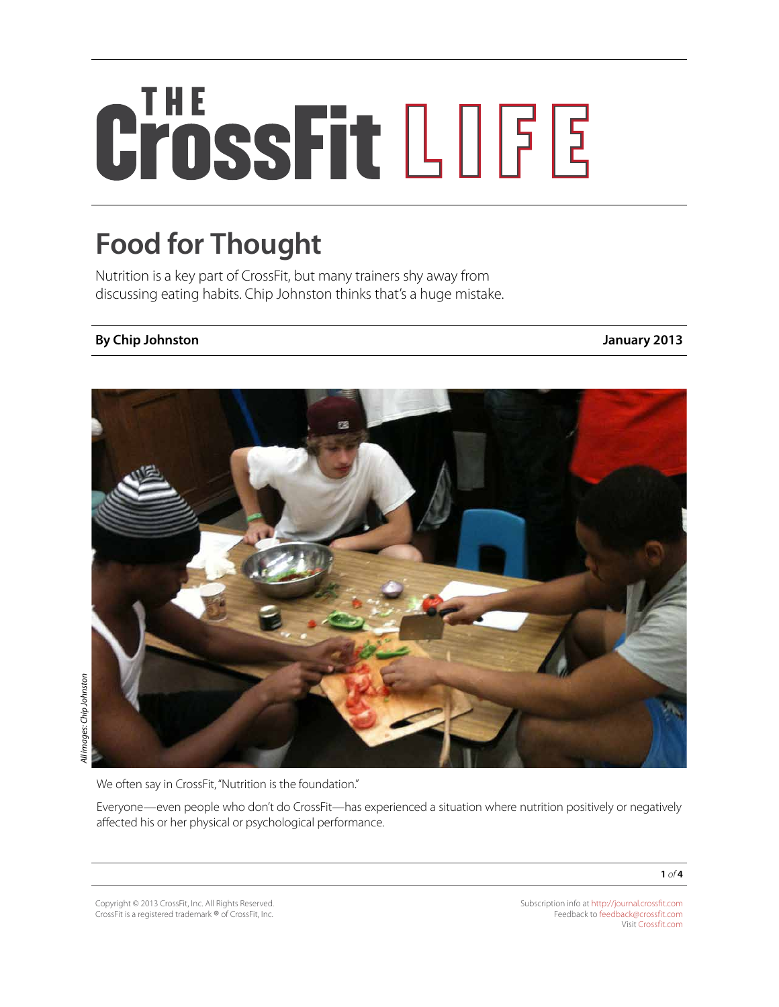# CrossFit LOGE

## **Food for Thought**

Nutrition is a key part of CrossFit, but many trainers shy away from discussing eating habits. Chip Johnston thinks that's a huge mistake.

### **By Chip Johnston January 2013**



We often say in CrossFit, "Nutrition is the foundation."

Everyone—even people who don't do CrossFit—has experienced a situation where nutrition positively or negatively affected his or her physical or psychological performance.

Copyright © 2013 CrossFit, Inc. All Rights Reserved. CrossFit is a registered trademark ® of CrossFit, Inc.

Subscription info at <http://journal.crossfit.com> Feedback to [feedback@crossfit.com](mailto:feedback@crossfit.com) Visit [Crossfit.com](http://crossfit.com/)

**1** *of* **4**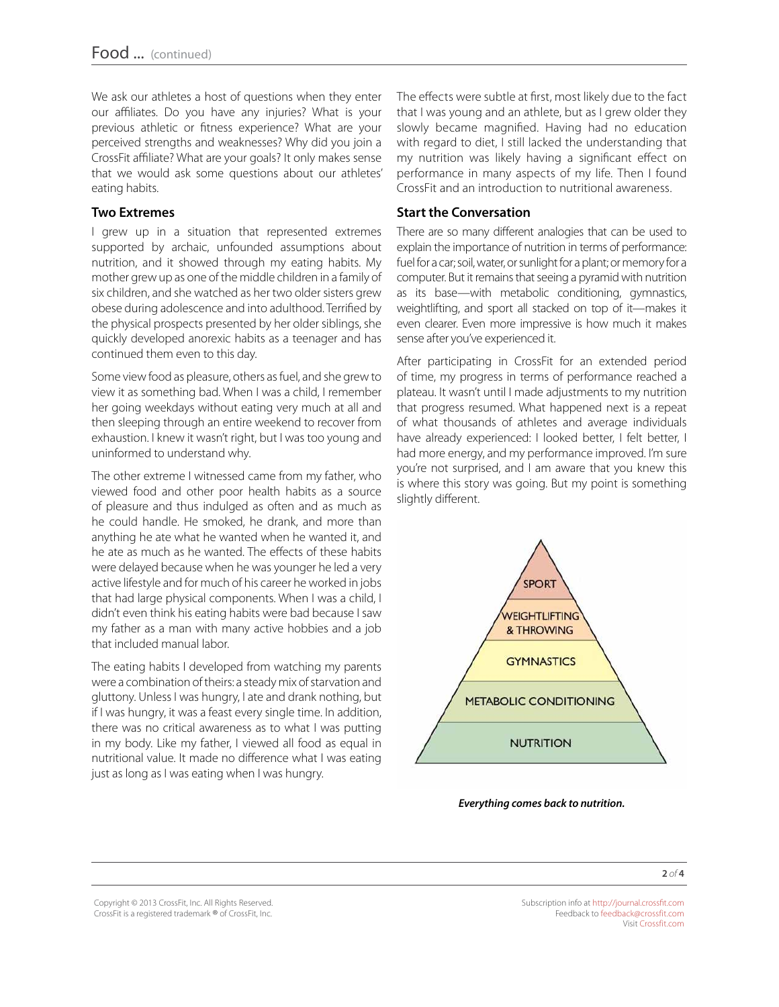We ask our athletes a host of questions when they enter our affiliates. Do you have any injuries? What is your previous athletic or fitness experience? What are your perceived strengths and weaknesses? Why did you join a CrossFit affiliate? What are your goals? It only makes sense that we would ask some questions about our athletes' eating habits.

#### **Two Extremes**

I grew up in a situation that represented extremes supported by archaic, unfounded assumptions about nutrition, and it showed through my eating habits. My mother grew up as one of the middle children in a family of six children, and she watched as her two older sisters grew obese during adolescence and into adulthood. Terrified by the physical prospects presented by her older siblings, she quickly developed anorexic habits as a teenager and has continued them even to this day.

Some view food as pleasure, others as fuel, and she grew to view it as something bad. When I was a child, I remember her going weekdays without eating very much at all and then sleeping through an entire weekend to recover from exhaustion. I knew it wasn't right, but I was too young and uninformed to understand why.

The other extreme I witnessed came from my father, who viewed food and other poor health habits as a source of pleasure and thus indulged as often and as much as he could handle. He smoked, he drank, and more than anything he ate what he wanted when he wanted it, and he ate as much as he wanted. The effects of these habits were delayed because when he was younger he led a very active lifestyle and for much of his career he worked in jobs that had large physical components. When I was a child, I didn't even think his eating habits were bad because I saw my father as a man with many active hobbies and a job that included manual labor.

The eating habits I developed from watching my parents were a combination of theirs: a steady mix of starvation and gluttony. Unless I was hungry, I ate and drank nothing, but if I was hungry, it was a feast every single time. In addition, there was no critical awareness as to what I was putting in my body. Like my father, I viewed all food as equal in nutritional value. It made no difference what I was eating just as long as I was eating when I was hungry.

The effects were subtle at first, most likely due to the fact that I was young and an athlete, but as I grew older they slowly became magnified. Having had no education with regard to diet, I still lacked the understanding that my nutrition was likely having a significant effect on performance in many aspects of my life. Then I found CrossFit and an introduction to nutritional awareness.

#### **Start the Conversation**

There are so many different analogies that can be used to explain the importance of nutrition in terms of performance: fuel for a car; soil, water, or sunlight for a plant; or memory for a computer. But it remains that seeing a pyramid with nutrition as its base—with metabolic conditioning, gymnastics, weightlifting, and sport all stacked on top of it—makes it even clearer. Even more impressive is how much it makes sense after you've experienced it.

After participating in CrossFit for an extended period of time, my progress in terms of performance reached a plateau. It wasn't until I made adjustments to my nutrition that progress resumed. What happened next is a repeat of what thousands of athletes and average individuals have already experienced: I looked better, I felt better, I had more energy, and my performance improved. I'm sure you're not surprised, and I am aware that you knew this is where this story was going. But my point is something slightly different.



*Everything comes back to nutrition.*

Copyright © 2013 CrossFit, Inc. All Rights Reserved. CrossFit is a registered trademark ® of CrossFit, Inc.

Subscription info at <http://journal.crossfit.com> Feedback to [feedback@crossfit.com](mailto:feedback@crossfit.com) Visit [Crossfit.com](http://crossfit.com/)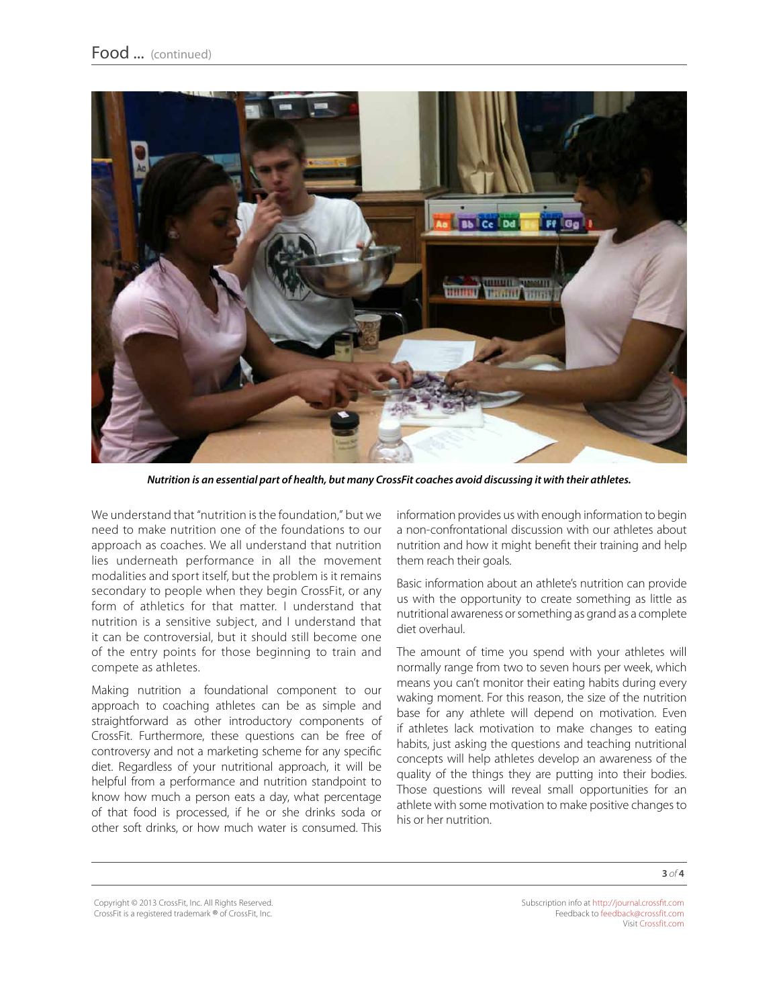

*Nutrition is an essential part of health, but many CrossFit coaches avoid discussing it with their athletes.* 

We understand that "nutrition is the foundation," but we need to make nutrition one of the foundations to our approach as coaches. We all understand that nutrition lies underneath performance in all the movement modalities and sport itself, but the problem is it remains secondary to people when they begin CrossFit, or any form of athletics for that matter. I understand that nutrition is a sensitive subject, and I understand that it can be controversial, but it should still become one of the entry points for those beginning to train and compete as athletes.

Making nutrition a foundational component to our approach to coaching athletes can be as simple and straightforward as other introductory components of CrossFit. Furthermore, these questions can be free of controversy and not a marketing scheme for any specific diet. Regardless of your nutritional approach, it will be helpful from a performance and nutrition standpoint to know how much a person eats a day, what percentage of that food is processed, if he or she drinks soda or other soft drinks, or how much water is consumed. This

information provides us with enough information to begin a non-confrontational discussion with our athletes about nutrition and how it might benefit their training and help them reach their goals.

Basic information about an athlete's nutrition can provide us with the opportunity to create something as little as nutritional awareness or something as grand as a complete diet overhaul.

The amount of time you spend with your athletes will normally range from two to seven hours per week, which means you can't monitor their eating habits during every waking moment. For this reason, the size of the nutrition base for any athlete will depend on motivation. Even if athletes lack motivation to make changes to eating habits, just asking the questions and teaching nutritional concepts will help athletes develop an awareness of the quality of the things they are putting into their bodies. Those questions will reveal small opportunities for an athlete with some motivation to make positive changes to his or her nutrition.

Copyright © 2013 CrossFit, Inc. All Rights Reserved. CrossFit is a registered trademark ® of CrossFit, Inc.

Subscription info at <http://journal.crossfit.com> Feedback to [feedback@crossfit.com](mailto:feedback@crossfit.com) Visit [Crossfit.com](http://crossfit.com/)